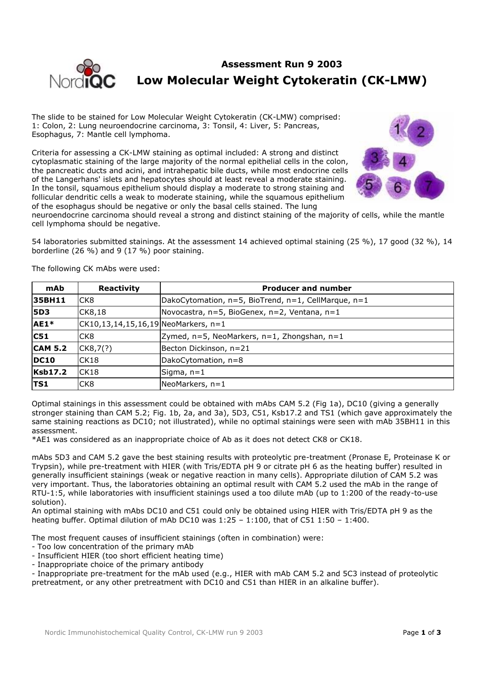

# **Assessment Run 9 2003 Low Molecular Weight Cytokeratin (CK-LMW)**

The slide to be stained for Low Molecular Weight Cytokeratin (CK-LMW) comprised: 1: Colon, 2: Lung neuroendocrine carcinoma, 3: Tonsil, 4: Liver, 5: Pancreas, Esophagus, 7: Mantle cell lymphoma.

Criteria for assessing a CK-LMW staining as optimal included: A strong and distinct cytoplasmatic staining of the large majority of the normal epithelial cells in the colon, the pancreatic ducts and acini, and intrahepatic bile ducts, while most endocrine cells of the Langerhans' islets and hepatocytes should at least reveal a moderate staining. In the tonsil, squamous epithelium should display a moderate to strong staining and follicular dendritic cells a weak to moderate staining, while the squamous epithelium of the esophagus should be negative or only the basal cells stained. The lung



neuroendocrine carcinoma should reveal a strong and distinct staining of the majority of cells, while the mantle cell lymphoma should be negative.

54 laboratories submitted stainings. At the assessment 14 achieved optimal staining (25 %), 17 good (32 %), 14 borderline (26 %) and 9 (17 %) poor staining.

The following CK mAbs were used:

| mAb            | Reactivity                                   | <b>Producer and number</b>                          |
|----------------|----------------------------------------------|-----------------------------------------------------|
| 35BH11         | ICK8                                         | DakoCytomation, n=5, BioTrend, n=1, CellMarque, n=1 |
| <b>5D3</b>     | CK8,18                                       | Novocastra, n=5, BioGenex, n=2, Ventana, n=1        |
| AE1*           | $ CK10, 13, 14, 15, 16, 19 $ NeoMarkers, n=1 |                                                     |
| C51            | ICK8                                         | Zymed, $n=5$ , NeoMarkers, $n=1$ , Zhongshan, $n=1$ |
| <b>CAM 5.2</b> | CK8,7(?)                                     | Becton Dickinson, n=21                              |
| <b>DC10</b>    | ICK18                                        | DakoCytomation, n=8                                 |
| <b>Ksb17.2</b> | CK18                                         | Sigma, n=1                                          |
| <b>TS1</b>     | ICK8                                         | NeoMarkers, $n=1$                                   |

Optimal stainings in this assessment could be obtained with mAbs CAM 5.2 (Fig 1a), DC10 (giving a generally stronger staining than CAM 5.2; Fig. 1b, 2a, and 3a), 5D3, C51, Ksb17.2 and TS1 (which gave approximately the same staining reactions as DC10; not illustrated), while no optimal stainings were seen with mAb 35BH11 in this assessment.

\*AE1 was considered as an inappropriate choice of Ab as it does not detect CK8 or CK18.

mAbs 5D3 and CAM 5.2 gave the best staining results with proteolytic pre-treatment (Pronase E, Proteinase K or Trypsin), while pre-treatment with HIER (with Tris/EDTA pH 9 or citrate pH 6 as the heating buffer) resulted in generally insufficient stainings (weak or negative reaction in many cells). Appropriate dilution of CAM 5.2 was very important. Thus, the laboratories obtaining an optimal result with CAM 5.2 used the mAb in the range of RTU-1:5, while laboratories with insufficient stainings used a too dilute mAb (up to 1:200 of the ready-to-use solution).

An optimal staining with mAbs DC10 and C51 could only be obtained using HIER with Tris/EDTA pH 9 as the heating buffer. Optimal dilution of mAb DC10 was 1:25 – 1:100, that of C51 1:50 – 1:400.

The most frequent causes of insufficient stainings (often in combination) were:

- Too low concentration of the primary mAb

- Insufficient HIER (too short efficient heating time)

- Inappropriate choice of the primary antibody

- Inappropriate pre-treatment for the mAb used (e.g., HIER with mAb CAM 5.2 and 5C3 instead of proteolytic pretreatment, or any other pretreatment with DC10 and C51 than HIER in an alkaline buffer).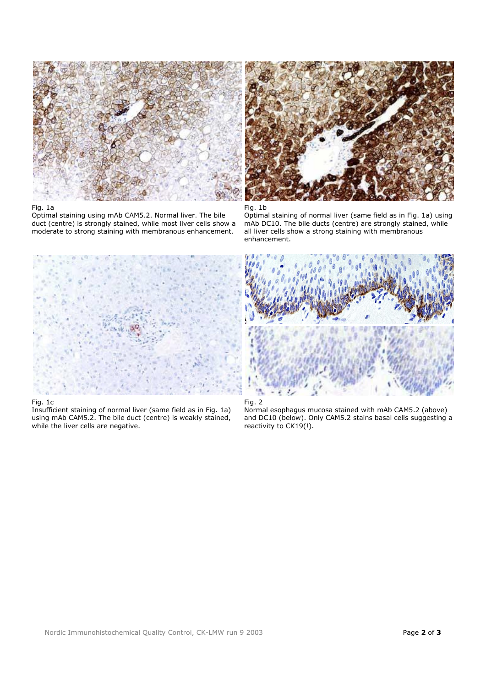

#### Fig. 1a

Optimal staining using mAb CAM5.2. Normal liver. The bile duct (centre) is strongly stained, while most liver cells show a moderate to strong staining with membranous enhancement.





Optimal staining of normal liver (same field as in Fig. 1a) using mAb DC10. The bile ducts (centre) are strongly stained, while all liver cells show a strong staining with membranous enhancement.



#### Fig. 1c

Insufficient staining of normal liver (same field as in Fig. 1a) using mAb CAM5.2. The bile duct (centre) is weakly stained, while the liver cells are negative.





Normal esophagus mucosa stained with mAb CAM5.2 (above) and DC10 (below). Only CAM5.2 stains basal cells suggesting a reactivity to CK19(!).